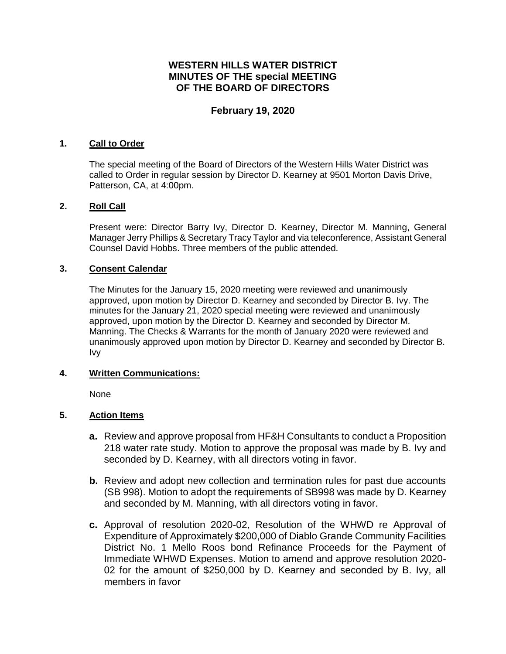# **WESTERN HILLS WATER DISTRICT MINUTES OF THE special MEETING OF THE BOARD OF DIRECTORS**

### **February 19, 2020**

#### **1. Call to Order**

The special meeting of the Board of Directors of the Western Hills Water District was called to Order in regular session by Director D. Kearney at 9501 Morton Davis Drive, Patterson, CA, at 4:00pm.

### **2. Roll Call**

Present were: Director Barry Ivy, Director D. Kearney, Director M. Manning, General Manager Jerry Phillips & Secretary Tracy Taylor and via teleconference, Assistant General Counsel David Hobbs. Three members of the public attended.

### **3. Consent Calendar**

The Minutes for the January 15, 2020 meeting were reviewed and unanimously approved, upon motion by Director D. Kearney and seconded by Director B. Ivy. The minutes for the January 21, 2020 special meeting were reviewed and unanimously approved, upon motion by the Director D. Kearney and seconded by Director M. Manning. The Checks & Warrants for the month of January 2020 were reviewed and unanimously approved upon motion by Director D. Kearney and seconded by Director B. Ivy

#### **4. Written Communications:**

None

### **5. Action Items**

- **a.** Review and approve proposal from HF&H Consultants to conduct a Proposition 218 water rate study. Motion to approve the proposal was made by B. Ivy and seconded by D. Kearney, with all directors voting in favor.
- **b.** Review and adopt new collection and termination rules for past due accounts (SB 998). Motion to adopt the requirements of SB998 was made by D. Kearney and seconded by M. Manning, with all directors voting in favor.
- **c.** Approval of resolution 2020-02, Resolution of the WHWD re Approval of Expenditure of Approximately \$200,000 of Diablo Grande Community Facilities District No. 1 Mello Roos bond Refinance Proceeds for the Payment of Immediate WHWD Expenses. Motion to amend and approve resolution 2020- 02 for the amount of \$250,000 by D. Kearney and seconded by B. Ivy, all members in favor